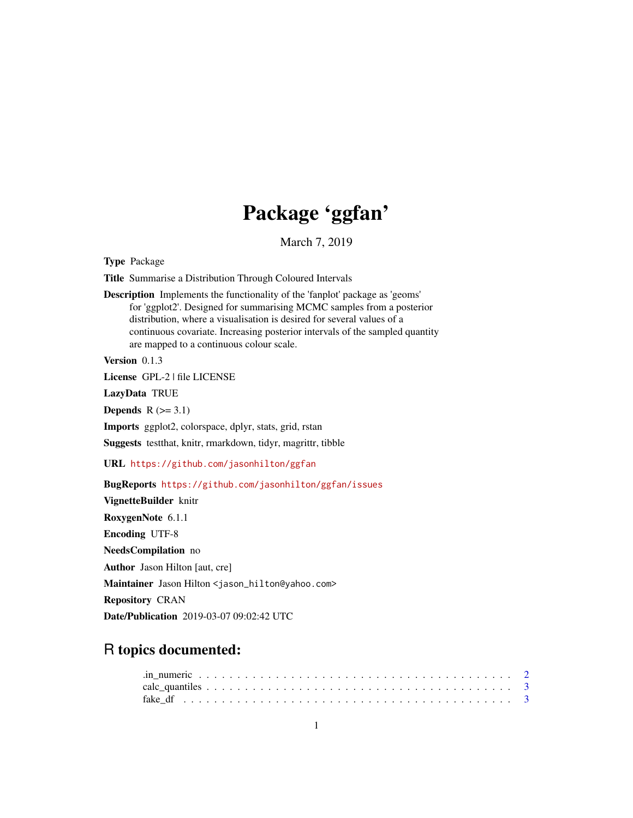## Package 'ggfan'

March 7, 2019

<span id="page-0-0"></span>Type Package

Title Summarise a Distribution Through Coloured Intervals

Description Implements the functionality of the 'fanplot' package as 'geoms' for 'ggplot2'. Designed for summarising MCMC samples from a posterior distribution, where a visualisation is desired for several values of a continuous covariate. Increasing posterior intervals of the sampled quantity are mapped to a continuous colour scale.

Version 0.1.3

License GPL-2 | file LICENSE

LazyData TRUE

Depends  $R$  ( $>= 3.1$ )

Imports ggplot2, colorspace, dplyr, stats, grid, rstan

Suggests testthat, knitr, rmarkdown, tidyr, magrittr, tibble

URL <https://github.com/jasonhilton/ggfan>

BugReports <https://github.com/jasonhilton/ggfan/issues>

VignetteBuilder knitr RoxygenNote 6.1.1 Encoding UTF-8 NeedsCompilation no Author Jason Hilton [aut, cre] Maintainer Jason Hilton <jason\_hilton@yahoo.com> Repository CRAN Date/Publication 2019-03-07 09:02:42 UTC

## R topics documented: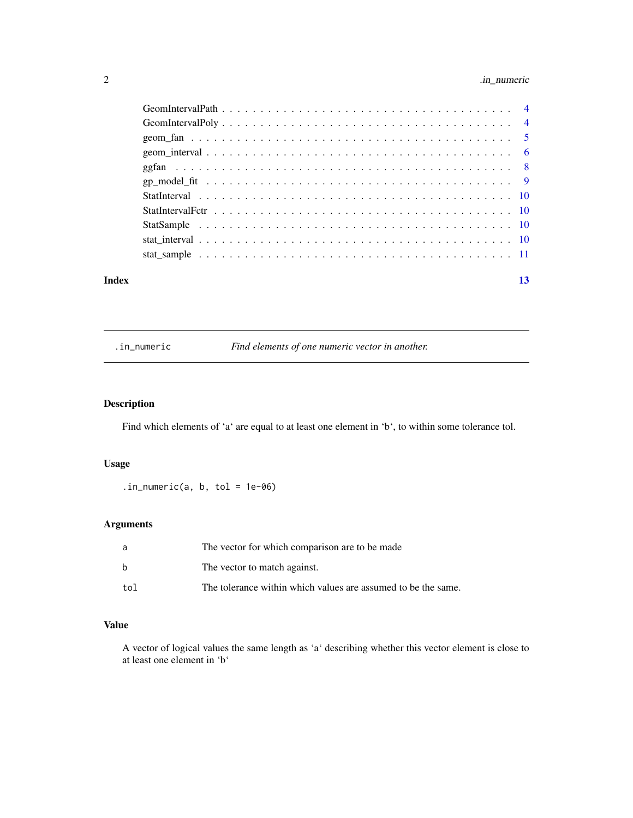## <span id="page-1-0"></span>2 . In\_numeric

| Index | 13 |
|-------|----|

#### .in\_numeric *Find elements of one numeric vector in another.*

## Description

Find which elements of 'a' are equal to at least one element in 'b', to within some tolerance tol.

#### Usage

 $.in_numberic(a, b, tol = 1e-06)$ 

## Arguments

| a   | The vector for which comparison are to be made                |
|-----|---------------------------------------------------------------|
| h   | The vector to match against.                                  |
| tol | The tolerance within which values are assumed to be the same. |

## Value

A vector of logical values the same length as 'a' describing whether this vector element is close to at least one element in 'b'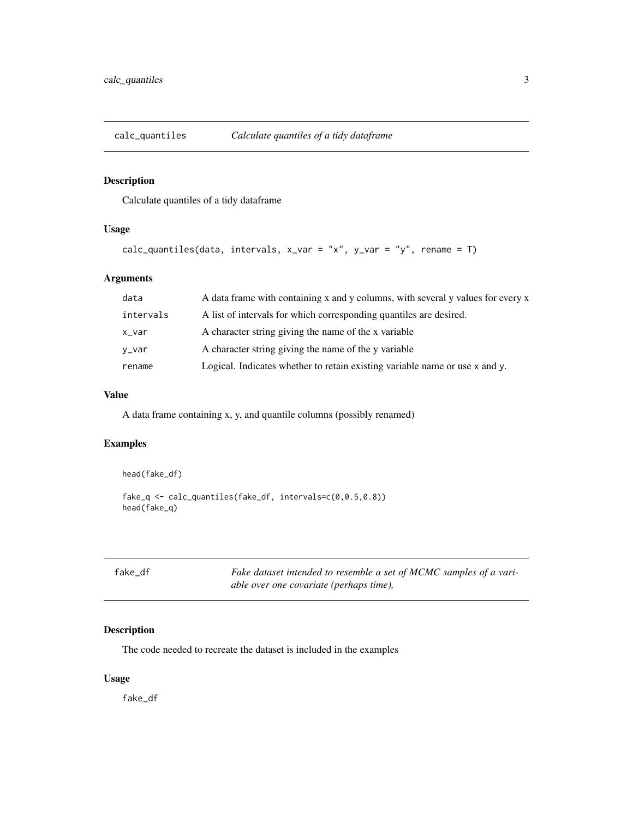<span id="page-2-1"></span><span id="page-2-0"></span>

Calculate quantiles of a tidy dataframe

#### Usage

```
calc_quantiles(data, intervals, x_var = "x", y_var = "y", rename = T)
```
#### Arguments

| data      | A data frame with containing x and y columns, with several y values for every x |
|-----------|---------------------------------------------------------------------------------|
| intervals | A list of intervals for which corresponding quantiles are desired.              |
| x_var     | A character string giving the name of the x variable                            |
| y_var     | A character string giving the name of the y variable                            |
| rename    | Logical. Indicates whether to retain existing variable name or use x and y.     |

#### Value

A data frame containing x, y, and quantile columns (possibly renamed)

#### Examples

```
head(fake_df)
fake_q <- calc_quantiles(fake_df, intervals=c(0,0.5,0.8))
head(fake_q)
```

| fake df |
|---------|
|---------|

Fake dataset intended to resemble a set of MCMC samples of a vari*able over one covariate (perhaps time),*

#### Description

The code needed to recreate the dataset is included in the examples

#### Usage

fake\_df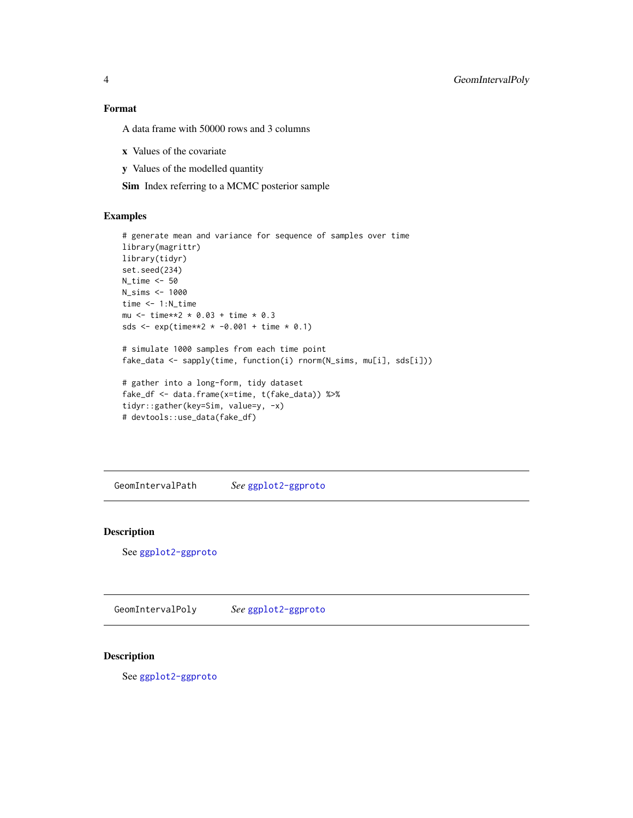<span id="page-3-0"></span>4 GeomIntervalPoly

#### Format

A data frame with 50000 rows and 3 columns

- x Values of the covariate
- y Values of the modelled quantity

Sim Index referring to a MCMC posterior sample

#### Examples

```
# generate mean and variance for sequence of samples over time
library(magrittr)
library(tidyr)
set.seed(234)
N_time <- 50
N_sims <- 1000
time <- 1:N_time
mu <- time**2 * 0.03 + time * 0.3
sds <- exp(time**2 * -0.001 + time * 0.1)# simulate 1000 samples from each time point
fake_data <- sapply(time, function(i) rnorm(N_sims, mu[i], sds[i]))
# gather into a long-form, tidy dataset
fake_df <- data.frame(x=time, t(fake_data)) %>%
tidyr::gather(key=Sim, value=y, -x)
# devtools::use_data(fake_df)
```
GeomIntervalPath *See* [ggplot2-ggproto](#page-0-0)

#### Description

See [ggplot2-ggproto](#page-0-0)

GeomIntervalPoly *See* [ggplot2-ggproto](#page-0-0)

#### Description

See [ggplot2-ggproto](#page-0-0)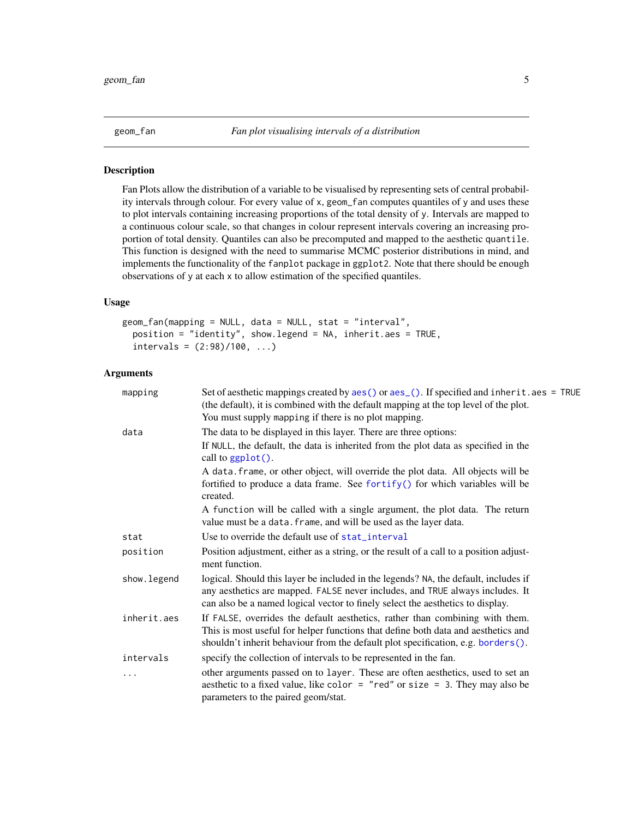<span id="page-4-1"></span><span id="page-4-0"></span>

Fan Plots allow the distribution of a variable to be visualised by representing sets of central probability intervals through colour. For every value of x, geom\_fan computes quantiles of y and uses these to plot intervals containing increasing proportions of the total density of y. Intervals are mapped to a continuous colour scale, so that changes in colour represent intervals covering an increasing proportion of total density. Quantiles can also be precomputed and mapped to the aesthetic quantile. This function is designed with the need to summarise MCMC posterior distributions in mind, and implements the functionality of the fanplot package in ggplot2. Note that there should be enough observations of y at each x to allow estimation of the specified quantiles.

#### Usage

```
geom_fan(mapping = NULL, data = NULL, stat = "interval",
 position = "identity", show.legend = NA, inherit.aes = TRUE,
  intervals = (2:98)/100, ...)
```
#### Arguments

| mapping      | Set of aesthetic mappings created by aes() or aes_(). If specified and inherit.aes = TRUE<br>(the default), it is combined with the default mapping at the top level of the plot.<br>You must supply mapping if there is no plot mapping.              |
|--------------|--------------------------------------------------------------------------------------------------------------------------------------------------------------------------------------------------------------------------------------------------------|
| data         | The data to be displayed in this layer. There are three options:                                                                                                                                                                                       |
|              | If NULL, the default, the data is inherited from the plot data as specified in the<br>call to ggplot().                                                                                                                                                |
|              | A data. frame, or other object, will override the plot data. All objects will be<br>fortified to produce a data frame. See fortify() for which variables will be<br>created.                                                                           |
|              | A function will be called with a single argument, the plot data. The return<br>value must be a data. frame, and will be used as the layer data.                                                                                                        |
| stat         | Use to override the default use of stat_interval                                                                                                                                                                                                       |
| position     | Position adjustment, either as a string, or the result of a call to a position adjust-<br>ment function.                                                                                                                                               |
| show. legend | logical. Should this layer be included in the legends? NA, the default, includes if<br>any aesthetics are mapped. FALSE never includes, and TRUE always includes. It<br>can also be a named logical vector to finely select the aesthetics to display. |
| inherit.aes  | If FALSE, overrides the default aesthetics, rather than combining with them.<br>This is most useful for helper functions that define both data and aesthetics and<br>shouldn't inherit behaviour from the default plot specification, e.g. borders().  |
| intervals    | specify the collection of intervals to be represented in the fan.                                                                                                                                                                                      |
| $\cdots$     | other arguments passed on to layer. These are often aesthetics, used to set an<br>aesthetic to a fixed value, like color = "red" or size = 3. They may also be<br>parameters to the paired geom/stat.                                                  |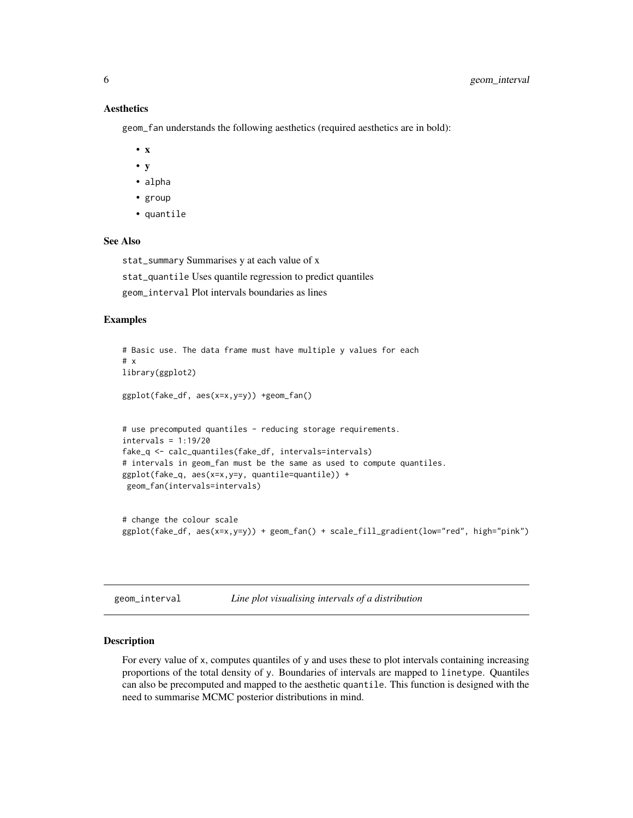#### **Aesthetics**

geom\_fan understands the following aesthetics (required aesthetics are in bold):

- x
- y
- alpha
- group
- quantile

#### See Also

stat\_summary Summarises y at each value of x

stat\_quantile Uses quantile regression to predict quantiles

geom\_interval Plot intervals boundaries as lines

#### Examples

```
# Basic use. The data frame must have multiple y values for each
# x
library(ggplot2)
ggplot(fake_df, aes(x=x,y=y)) +geom_fan()
# use precomputed quantiles - reducing storage requirements.
intervals = 1:19/20
fake_q <- calc_quantiles(fake_df, intervals=intervals)
# intervals in geom_fan must be the same as used to compute quantiles.
ggplot(fake_q, aes(x=x,y=y, quantile=quantile)) +geom_fan(intervals=intervals)
# change the colour scale
```

```
ggplot(fake_df, aes(x=x,y=y)) + geom_fan() + scale_fill_gradient(low="red", high="pink")
```
<span id="page-5-1"></span>

| geom interval |  |
|---------------|--|
|               |  |

```
Line plot visualising intervals of a distribution
```
#### Description

For every value of x, computes quantiles of y and uses these to plot intervals containing increasing proportions of the total density of y. Boundaries of intervals are mapped to linetype. Quantiles can also be precomputed and mapped to the aesthetic quantile. This function is designed with the need to summarise MCMC posterior distributions in mind.

<span id="page-5-0"></span>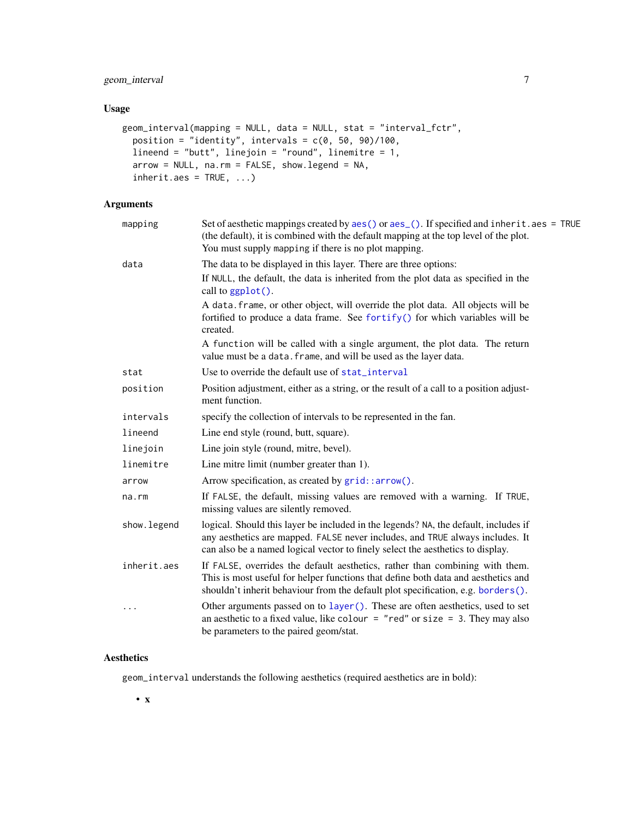#### <span id="page-6-0"></span>Usage

```
geom_interval(mapping = NULL, data = NULL, stat = "interval_fctr",
 position = "identity", intervals = c(0, 50, 90)/100,
 lineend = "butt", linejoin = "round", linemitre = 1,
 arrow = NULL, na.rm = FALSE, show.legend = NA,
  inherit.aes = TRUE, ...
```
## Arguments

| mapping     | Set of aesthetic mappings created by $aes()$ or $aes_()$ . If specified and inherit. $aes = TRUE$<br>(the default), it is combined with the default mapping at the top level of the plot.<br>You must supply mapping if there is no plot mapping.      |
|-------------|--------------------------------------------------------------------------------------------------------------------------------------------------------------------------------------------------------------------------------------------------------|
| data        | The data to be displayed in this layer. There are three options:                                                                                                                                                                                       |
|             | If NULL, the default, the data is inherited from the plot data as specified in the<br>call to $ggplot()$ .                                                                                                                                             |
|             | A data. frame, or other object, will override the plot data. All objects will be<br>fortified to produce a data frame. See fortify() for which variables will be<br>created.                                                                           |
|             | A function will be called with a single argument, the plot data. The return<br>value must be a data. frame, and will be used as the layer data.                                                                                                        |
| stat        | Use to override the default use of stat_interval                                                                                                                                                                                                       |
| position    | Position adjustment, either as a string, or the result of a call to a position adjust-<br>ment function.                                                                                                                                               |
| intervals   | specify the collection of intervals to be represented in the fan.                                                                                                                                                                                      |
| lineend     | Line end style (round, butt, square).                                                                                                                                                                                                                  |
| linejoin    | Line join style (round, mitre, bevel).                                                                                                                                                                                                                 |
| linemitre   | Line mitre limit (number greater than 1).                                                                                                                                                                                                              |
| arrow       | Arrow specification, as created by grid::arrow().                                                                                                                                                                                                      |
| na.rm       | If FALSE, the default, missing values are removed with a warning. If TRUE,<br>missing values are silently removed.                                                                                                                                     |
| show.legend | logical. Should this layer be included in the legends? NA, the default, includes if<br>any aesthetics are mapped. FALSE never includes, and TRUE always includes. It<br>can also be a named logical vector to finely select the aesthetics to display. |
| inherit.aes | If FALSE, overrides the default aesthetics, rather than combining with them.<br>This is most useful for helper functions that define both data and aesthetics and<br>shouldn't inherit behaviour from the default plot specification, e.g. borders().  |
| $\cdots$    | Other arguments passed on to layer (). These are often aesthetics, used to set<br>an aesthetic to a fixed value, like colour = "red" or size = 3. They may also<br>be parameters to the paired geom/stat.                                              |

#### Aesthetics

geom\_interval understands the following aesthetics (required aesthetics are in bold):

• x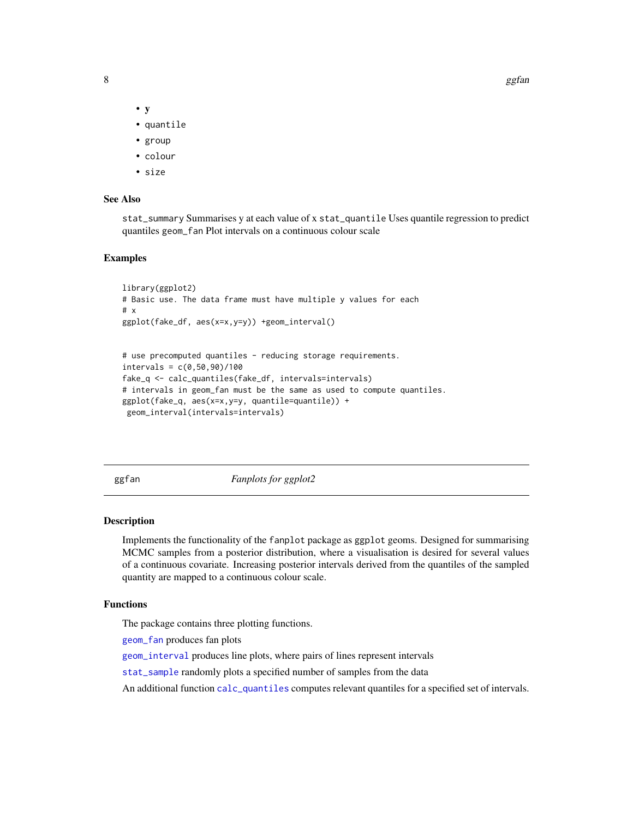<span id="page-7-0"></span>

- y
- quantile
- group
- colour
- size

#### See Also

stat\_summary Summarises y at each value of x stat\_quantile Uses quantile regression to predict quantiles geom\_fan Plot intervals on a continuous colour scale

#### Examples

```
library(ggplot2)
# Basic use. The data frame must have multiple y values for each
# x
ggplot(fake_df, aes(x=x,y=y)) +geom_interval()
# use precomputed quantiles - reducing storage requirements.
intervals = c(0, 50, 90)/100fake_q <- calc_quantiles(fake_df, intervals=intervals)
# intervals in geom_fan must be the same as used to compute quantiles.
ggplot(fake_q, aes(x=x,y=y, quantile=quantile)) +
geom_interval(intervals=intervals)
```
ggfan *Fanplots for ggplot2*

#### Description

Implements the functionality of the fanplot package as ggplot geoms. Designed for summarising MCMC samples from a posterior distribution, where a visualisation is desired for several values of a continuous covariate. Increasing posterior intervals derived from the quantiles of the sampled quantity are mapped to a continuous colour scale.

#### Functions

The package contains three plotting functions.

[geom\\_fan](#page-4-1) produces fan plots

[geom\\_interval](#page-5-1) produces line plots, where pairs of lines represent intervals

[stat\\_sample](#page-10-1) randomly plots a specified number of samples from the data

An additional function [calc\\_quantiles](#page-2-1) computes relevant quantiles for a specified set of intervals.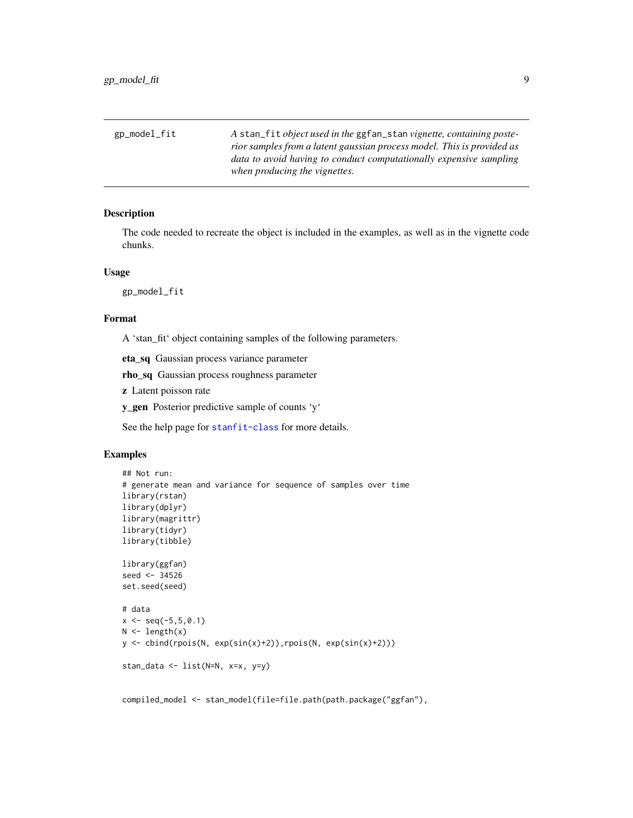<span id="page-8-0"></span>

| gp_model_fit | A stan_fit <i>object used in the</i> ggfan_stan <i>vignette, containing poste-</i> |
|--------------|------------------------------------------------------------------------------------|
|              | rior samples from a latent gaussian process model. This is provided as             |
|              | data to avoid having to conduct computationally expensive sampling                 |
|              | when producing the vignettes.                                                      |

The code needed to recreate the object is included in the examples, as well as in the vignette code chunks.

#### Usage

gp\_model\_fit

#### Format

A 'stan\_fit' object containing samples of the following parameters.

eta\_sq Gaussian process variance parameter

rho\_sq Gaussian process roughness parameter

z Latent poisson rate

y\_gen Posterior predictive sample of counts 'y'

See the help page for [stanfit-class](#page-0-0) for more details.

#### Examples

```
## Not run:
# generate mean and variance for sequence of samples over time
library(rstan)
library(dplyr)
library(magrittr)
library(tidyr)
library(tibble)
library(ggfan)
seed <- 34526
set.seed(seed)
# data
x \leq -\text{seq}(-5, 5, 0.1)N \leftarrow length(x)y <- cbind(rpois(N, exp(sin(x)+2)),rpois(N, exp(sin(x)+2)))
stan_data <- list(N=N, x=x, y=y)
```
compiled\_model <- stan\_model(file=file.path(path.package("ggfan"),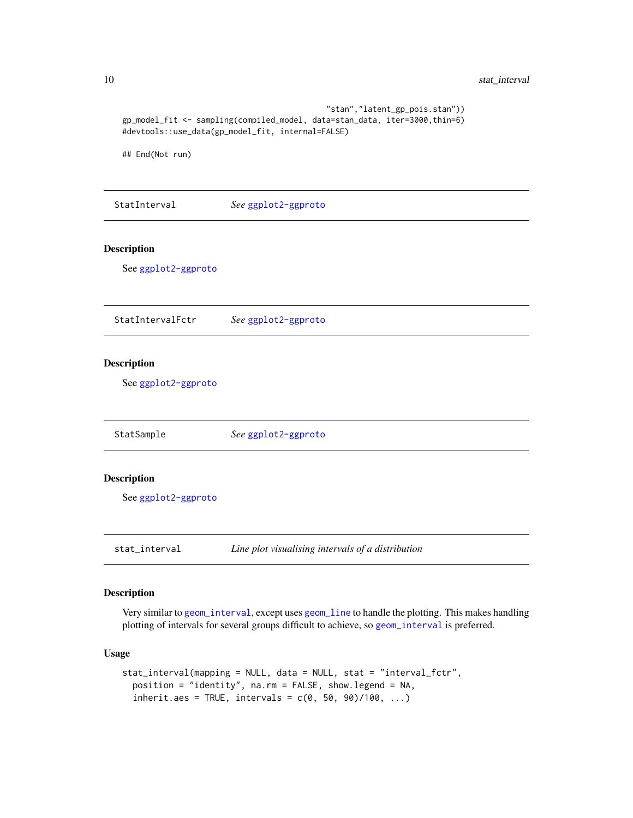```
"stan","latent_gp_pois.stan"))
   gp_model_fit <- sampling(compiled_model, data=stan_data, iter=3000,thin=6)
   #devtools::use_data(gp_model_fit, internal=FALSE)
   ## End(Not run)
  StatInterval See ggplot2-ggproto
Description
   See ggplot2-ggproto
  StatIntervalFctr See ggplot2-ggproto
Description
   See ggplot2-ggproto
  StatSample See ggplot2-ggproto
Description
   See ggplot2-ggproto
  stat_interval Line plot visualising intervals of a distribution
```
<span id="page-9-1"></span>Very similar to [geom\\_interval](#page-5-1), except uses [geom\\_line](#page-0-0) to handle the plotting. This makes handling plotting of intervals for several groups difficult to achieve, so [geom\\_interval](#page-5-1) is preferred.

#### Usage

```
stat_interval(mapping = NULL, data = NULL, stat = "interval_fctr",
 position = "identity", na.rm = FALSE, show.legend = NA,
  inherit.aes = TRUE, intervals = c(0, 50, 90)/100, ...)
```
<span id="page-9-0"></span>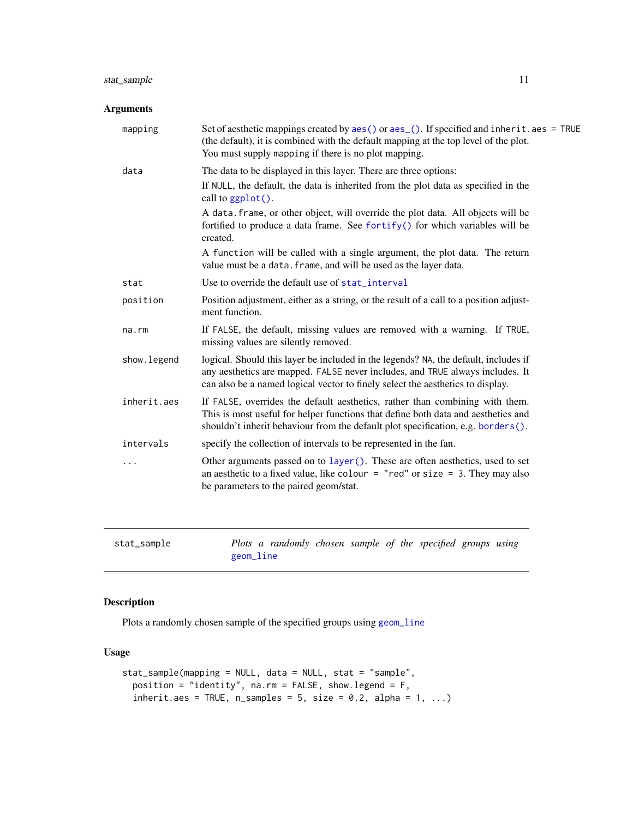#### <span id="page-10-0"></span>stat\_sample 11

#### Arguments

| mapping      | Set of aesthetic mappings created by $aes()$ or $aes()$ . If specified and inherit. $aes = TRUE$<br>(the default), it is combined with the default mapping at the top level of the plot.<br>You must supply mapping if there is no plot mapping.       |
|--------------|--------------------------------------------------------------------------------------------------------------------------------------------------------------------------------------------------------------------------------------------------------|
| data         | The data to be displayed in this layer. There are three options:                                                                                                                                                                                       |
|              | If NULL, the default, the data is inherited from the plot data as specified in the<br>call to ggplot().                                                                                                                                                |
|              | A data. frame, or other object, will override the plot data. All objects will be<br>fortified to produce a data frame. See fortify() for which variables will be<br>created.                                                                           |
|              | A function will be called with a single argument, the plot data. The return<br>value must be a data. frame, and will be used as the layer data.                                                                                                        |
| stat         | Use to override the default use of stat_interval                                                                                                                                                                                                       |
| position     | Position adjustment, either as a string, or the result of a call to a position adjust-<br>ment function.                                                                                                                                               |
| na.rm        | If FALSE, the default, missing values are removed with a warning. If TRUE,<br>missing values are silently removed.                                                                                                                                     |
| show. legend | logical. Should this layer be included in the legends? NA, the default, includes if<br>any aesthetics are mapped. FALSE never includes, and TRUE always includes. It<br>can also be a named logical vector to finely select the aesthetics to display. |
| inherit.aes  | If FALSE, overrides the default aesthetics, rather than combining with them.<br>This is most useful for helper functions that define both data and aesthetics and<br>shouldn't inherit behaviour from the default plot specification, e.g. borders().  |
| intervals    | specify the collection of intervals to be represented in the fan.                                                                                                                                                                                      |
|              | Other arguments passed on to layer (). These are often aesthetics, used to set<br>an aesthetic to a fixed value, like colour = "red" or size = 3. They may also<br>be parameters to the paired geom/stat.                                              |
|              |                                                                                                                                                                                                                                                        |

```
stat_sample Plots a randomly chosen sample of the specified groups using
                     geom_line
```
#### Description

Plots a randomly chosen sample of the specified groups using [geom\\_line](#page-0-0)

#### Usage

```
stat_sample(mapping = NULL, data = NULL, stat = "sample",
 position = "identity", na.rm = FALSE, show.legend = F,
  inherit.aes = TRUE, n_samples = 5, size = 0.2, alpha = 1, ...)
```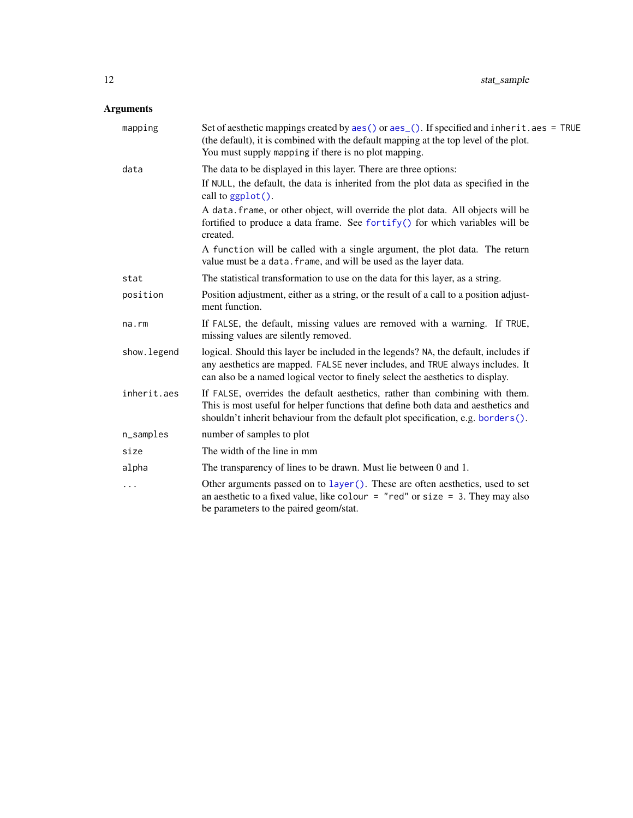## <span id="page-11-0"></span>Arguments

| mapping      | Set of aesthetic mappings created by aes() or aes_(). If specified and inherit.aes = TRUE<br>(the default), it is combined with the default mapping at the top level of the plot.<br>You must supply mapping if there is no plot mapping.              |
|--------------|--------------------------------------------------------------------------------------------------------------------------------------------------------------------------------------------------------------------------------------------------------|
| data         | The data to be displayed in this layer. There are three options:                                                                                                                                                                                       |
|              | If NULL, the default, the data is inherited from the plot data as specified in the<br>call to ggplot().                                                                                                                                                |
|              | A data. frame, or other object, will override the plot data. All objects will be<br>fortified to produce a data frame. See fortify() for which variables will be<br>created.                                                                           |
|              | A function will be called with a single argument, the plot data. The return<br>value must be a data. frame, and will be used as the layer data.                                                                                                        |
| stat         | The statistical transformation to use on the data for this layer, as a string.                                                                                                                                                                         |
| position     | Position adjustment, either as a string, or the result of a call to a position adjust-<br>ment function.                                                                                                                                               |
| $na$ . $rm$  | If FALSE, the default, missing values are removed with a warning. If TRUE,<br>missing values are silently removed.                                                                                                                                     |
| show. legend | logical. Should this layer be included in the legends? NA, the default, includes if<br>any aesthetics are mapped. FALSE never includes, and TRUE always includes. It<br>can also be a named logical vector to finely select the aesthetics to display. |
| inherit.aes  | If FALSE, overrides the default aesthetics, rather than combining with them.<br>This is most useful for helper functions that define both data and aesthetics and<br>shouldn't inherit behaviour from the default plot specification, e.g. borders().  |
| n_samples    | number of samples to plot                                                                                                                                                                                                                              |
| size         | The width of the line in mm                                                                                                                                                                                                                            |
| alpha        | The transparency of lines to be drawn. Must lie between 0 and 1.                                                                                                                                                                                       |
| .            | Other arguments passed on to layer (). These are often aesthetics, used to set<br>an aesthetic to a fixed value, like colour = "red" or size = 3. They may also<br>be parameters to the paired geom/stat.                                              |